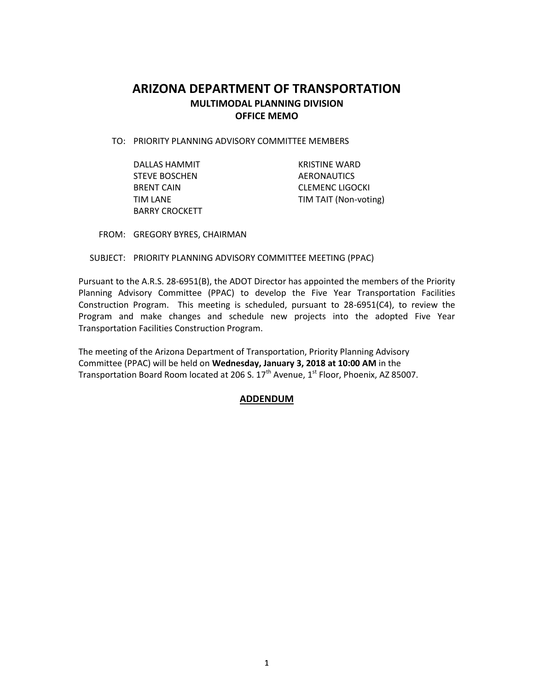# **ARIZONA DEPARTMENT OF TRANSPORTATION MULTIMODAL PLANNING DIVISION OFFICE MEMO**

TO: PRIORITY PLANNING ADVISORY COMMITTEE MEMBERS

DALLAS HAMMIT **EXAMPLE 18 IN THE REAL PROPERTY REAL PROPERTY AND KRISTINE WARD** STEVE BOSCHEN AERONAUTICS BARRY CROCKETT

BRENT CAIN GERENC LIGOCKI TIM LANE TIM TAIT (Non-voting)

FROM: GREGORY BYRES, CHAIRMAN

SUBJECT: PRIORITY PLANNING ADVISORY COMMITTEE MEETING (PPAC)

Pursuant to the A.R.S. 28-6951(B), the ADOT Director has appointed the members of the Priority Planning Advisory Committee (PPAC) to develop the Five Year Transportation Facilities Construction Program. This meeting is scheduled, pursuant to 28-6951(C4), to review the Program and make changes and schedule new projects into the adopted Five Year Transportation Facilities Construction Program.

The meeting of the Arizona Department of Transportation, Priority Planning Advisory Committee (PPAC) will be held on **Wednesday, January 3, 2018 at 10:00 AM** in the Transportation Board Room located at 206 S.  $17<sup>th</sup>$  Avenue,  $1<sup>st</sup>$  Floor, Phoenix, AZ 85007.

# **ADDENDUM**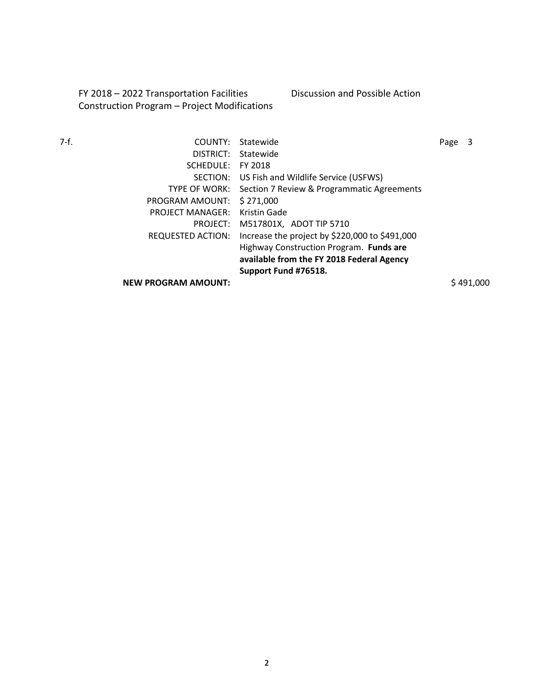FY 2018 – 2022 Transportation Facilities Construction Program – Project Modifications Discussion and Possible Action

| 7-f. | COUNTY:                    | Statewide                                      | Page |           |
|------|----------------------------|------------------------------------------------|------|-----------|
|      | DISTRICT:                  | Statewide                                      |      |           |
|      | SCHEDULE:                  | FY 2018                                        |      |           |
|      | SECTION:                   | US Fish and Wildlife Service (USFWS)           |      |           |
|      | TYPE OF WORK:              | Section 7 Review & Programmatic Agreements     |      |           |
|      | PROGRAM AMOUNT:            | \$271,000                                      |      |           |
|      | <b>PROJECT MANAGER:</b>    | Kristin Gade                                   |      |           |
|      | PROJECT:                   | M517801X, ADOT TIP 5710                        |      |           |
|      | <b>REQUESTED ACTION:</b>   | Increase the project by \$220,000 to \$491,000 |      |           |
|      |                            | Highway Construction Program. Funds are        |      |           |
|      |                            | available from the FY 2018 Federal Agency      |      |           |
|      |                            | Support Fund #76518.                           |      |           |
|      | <b>NEW PROGRAM AMOUNT:</b> |                                                |      | \$491,000 |

2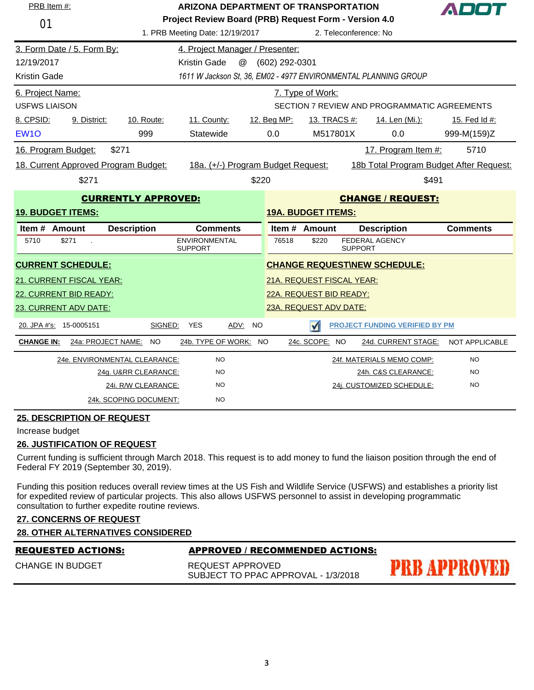| PRB Item #:                |                    | <b>ARIZONA DEPARTMENT OF TRANSPORTATION</b> |                                                                 |                |                           |                                              |                       |
|----------------------------|--------------------|---------------------------------------------|-----------------------------------------------------------------|----------------|---------------------------|----------------------------------------------|-----------------------|
| 01                         |                    |                                             | Project Review Board (PRB) Request Form - Version 4.0           |                |                           |                                              |                       |
|                            |                    |                                             | 1. PRB Meeting Date: 12/19/2017                                 |                |                           | 2. Teleconference: No                        |                       |
| 3. Form Date / 5. Form By: |                    |                                             | 4. Project Manager / Presenter:                                 |                |                           |                                              |                       |
| 12/19/2017                 |                    |                                             | @<br><b>Kristin Gade</b>                                        | (602) 292-0301 |                           |                                              |                       |
| <b>Kristin Gade</b>        |                    |                                             | 1611 W Jackson St, 36, EM02 - 4977 ENVIRONMENTAL PLANNING GROUP |                |                           |                                              |                       |
| 6. Project Name:           |                    |                                             |                                                                 |                | 7. Type of Work:          |                                              |                       |
| <b>USFWS LIAISON</b>       |                    |                                             |                                                                 |                |                           | SECTION 7 REVIEW AND PROGRAMMATIC AGREEMENTS |                       |
| 8. CPSID:                  | 9. District:       | 10. Route:                                  | 11. County:                                                     | 12. Beg MP:    | 13. TRACS #:              | 14. Len (Mi.):                               | 15. Fed Id #:         |
| EW <sub>1</sub> O          |                    | 999                                         | Statewide                                                       | 0.0            | M517801X                  | 0.0                                          | 999-M(159)Z           |
| 16. Program Budget:        |                    | \$271                                       |                                                                 |                |                           | 17. Program Item #:                          | 5710                  |
|                            |                    | 18. Current Approved Program Budget:        | 18a. (+/-) Program Budget Request:                              |                |                           | 18b Total Program Budget After Request:      |                       |
|                            | \$271              |                                             | \$220                                                           |                |                           | \$491                                        |                       |
|                            |                    | <b>CURRENTLY APPROVED:</b>                  |                                                                 |                |                           | <b>CHANGE / REQUEST:</b>                     |                       |
|                            |                    |                                             |                                                                 |                |                           |                                              |                       |
| <b>19. BUDGET ITEMS:</b>   |                    |                                             |                                                                 |                | <b>19A. BUDGET ITEMS:</b> |                                              |                       |
| Item # Amount              |                    | <b>Description</b>                          | <b>Comments</b>                                                 |                | Item # Amount             | <b>Description</b>                           | <b>Comments</b>       |
| 5710                       | \$271              |                                             | <b>ENVIRONMENTAL</b><br><b>SUPPORT</b>                          | 76518          | \$220                     | <b>FEDERAL AGENCY</b><br><b>SUPPORT</b>      |                       |
| <b>CURRENT SCHEDULE:</b>   |                    |                                             |                                                                 |                |                           | <b>CHANGE REQUEST\NEW SCHEDULE:</b>          |                       |
| 21. CURRENT FISCAL YEAR:   |                    |                                             |                                                                 |                | 21A. REQUEST FISCAL YEAR: |                                              |                       |
| 22. CURRENT BID READY:     |                    |                                             |                                                                 |                | 22A. REQUEST BID READY:   |                                              |                       |
| 23. CURRENT ADV DATE:      |                    |                                             |                                                                 |                | 23A. REQUEST ADV DATE:    |                                              |                       |
| 20. JPA #'s: 15-0005151    |                    | SIGNED:                                     | <b>YES</b><br>ADV:<br><b>NO</b>                                 |                | $\sqrt{ }$                | <b>PROJECT FUNDING VERIFIED BY PM</b>        |                       |
| <b>CHANGE IN:</b>          | 24a: PROJECT NAME: | NO.                                         | 24b. TYPE OF WORK: NO                                           |                | 24c. SCOPE: NO            | 24d. CURRENT STAGE:                          | <b>NOT APPLICABLE</b> |
|                            |                    | 24e. ENVIRONMENTAL CLEARANCE:               | <b>NO</b>                                                       |                |                           | 24f. MATERIALS MEMO COMP:                    | NO.                   |
|                            |                    | 24g. U&RR CLEARANCE:                        | <b>NO</b>                                                       |                |                           | 24h. C&S CLEARANCE:                          | <b>NO</b>             |
|                            |                    | 24i. R/W CLEARANCE:                         | <b>NO</b>                                                       |                |                           | 24j. CUSTOMIZED SCHEDULE:                    | <b>NO</b>             |

Increase budget

#### **26. JUSTIFICATION OF REQUEST**

Current funding is sufficient through March 2018. This request is to add money to fund the liaison position through the end of Federal FY 2019 (September 30, 2019).

Funding this position reduces overall review times at the US Fish and Wildlife Service (USFWS) and establishes a priority list for expedited review of particular projects. This also allows USFWS personnel to assist in developing programmatic consultation to further expedite routine reviews.

# **27. CONCERNS OF REQUEST**

|  | <b>28. OTHER ALTERNATIVES CONSIDERED</b> |  |  |
|--|------------------------------------------|--|--|
|  |                                          |  |  |

| <b>REQUESTED ACTIONS:</b> | APPROVED / RECOMMENDED ACTIONS:                         |              |
|---------------------------|---------------------------------------------------------|--------------|
| <b>CHANGE IN BUDGET</b>   | REQUEST APPROVED<br>SUBJECT TO PPAC APPROVAL - 1/3/2018 | PRB APPROVED |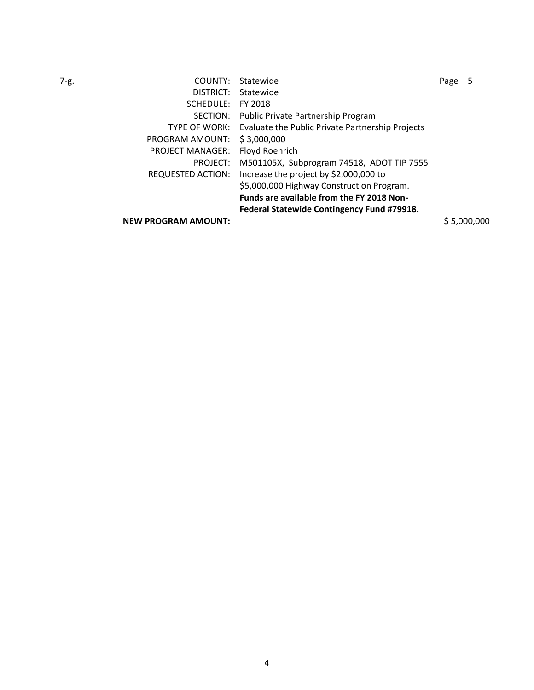| 7-g. | COUNTY:                    | Statewide                                        | Page |             |
|------|----------------------------|--------------------------------------------------|------|-------------|
|      | DISTRICT:                  | Statewide                                        |      |             |
|      | SCHEDULE:                  | FY 2018                                          |      |             |
|      | SECTION:                   | Public Private Partnership Program               |      |             |
|      | TYPE OF WORK:              | Evaluate the Public Private Partnership Projects |      |             |
|      | PROGRAM AMOUNT:            | \$3,000,000                                      |      |             |
|      | <b>PROJECT MANAGER:</b>    | Floyd Roehrich                                   |      |             |
|      | PROJECT:                   | M501105X, Subprogram 74518, ADOT TIP 7555        |      |             |
|      | REQUESTED ACTION:          | Increase the project by \$2,000,000 to           |      |             |
|      |                            | \$5,000,000 Highway Construction Program.        |      |             |
|      |                            | <b>Funds are available from the FY 2018 Non-</b> |      |             |
|      |                            | Federal Statewide Contingency Fund #79918.       |      |             |
|      | <b>NEW PROGRAM AMOUNT:</b> |                                                  |      | \$5,000,000 |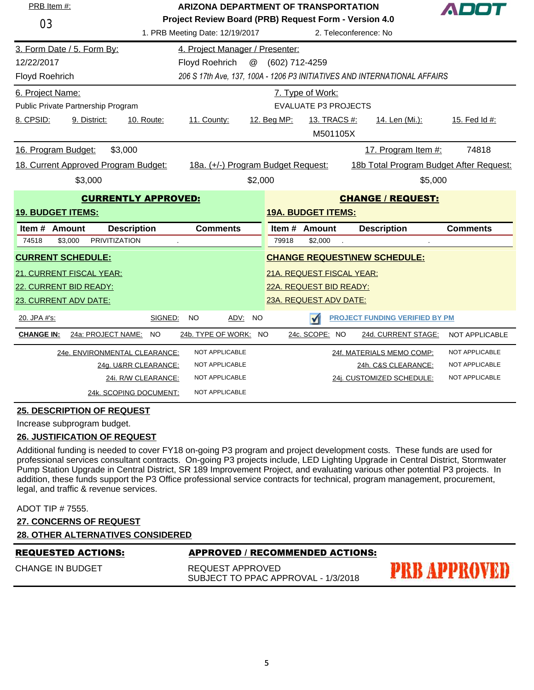| PRB Item #:                                                                   | ARIZONA DEPARTMENT OF TRANSPORTATION                                      |  |  |  |  |  |
|-------------------------------------------------------------------------------|---------------------------------------------------------------------------|--|--|--|--|--|
| 03                                                                            | Project Review Board (PRB) Request Form - Version 4.0                     |  |  |  |  |  |
| 1. PRB Meeting Date: 12/19/2017                                               | 2. Teleconference: No                                                     |  |  |  |  |  |
| 3. Form Date / 5. Form By:<br>4. Project Manager / Presenter:                 |                                                                           |  |  |  |  |  |
| 12/22/2017<br>@<br>Floyd Roehrich                                             | (602) 712-4259                                                            |  |  |  |  |  |
| <b>Floyd Roehrich</b>                                                         | 206 S 17th Ave, 137, 100A - 1206 P3 INITIATIVES AND INTERNATIONAL AFFAIRS |  |  |  |  |  |
| 6. Project Name:                                                              | 7. Type of Work:                                                          |  |  |  |  |  |
| Public Private Partnership Program                                            | <b>EVALUATE P3 PROJECTS</b>                                               |  |  |  |  |  |
| 8. CPSID:<br>9. District:<br>11. County:<br>10. Route:                        | 12. Beg MP:<br>13. TRACS #:<br>14. Len (Mi.):<br>15. Fed Id #:            |  |  |  |  |  |
|                                                                               | M501105X                                                                  |  |  |  |  |  |
| 16. Program Budget:<br>\$3,000                                                | 17. Program Item #:<br>74818                                              |  |  |  |  |  |
| 18. Current Approved Program Budget:<br>18a. (+/-) Program Budget Request:    | 18b Total Program Budget After Request:                                   |  |  |  |  |  |
| \$3,000<br>\$2,000                                                            | \$5,000                                                                   |  |  |  |  |  |
| <b>CURRENTLY APPROVED:</b>                                                    | <b>CHANGE / REQUEST:</b>                                                  |  |  |  |  |  |
| <b>19. BUDGET ITEMS:</b>                                                      | <b>19A. BUDGET ITEMS:</b>                                                 |  |  |  |  |  |
|                                                                               |                                                                           |  |  |  |  |  |
| Item # Amount<br><b>Description</b><br><b>Comments</b>                        | Item $#$<br><b>Amount</b><br><b>Description</b><br><b>Comments</b>        |  |  |  |  |  |
| <b>PRIVITIZATION</b><br>\$3,000<br>74518                                      | 79918<br>\$2,000                                                          |  |  |  |  |  |
| <b>CURRENT SCHEDULE:</b>                                                      | <b>CHANGE REQUEST\NEW SCHEDULE:</b>                                       |  |  |  |  |  |
| <b>21. CURRENT FISCAL YEAR:</b>                                               | 21A. REQUEST FISCAL YEAR:                                                 |  |  |  |  |  |
| 22. CURRENT BID READY:                                                        | 22A. REQUEST BID READY:                                                   |  |  |  |  |  |
| 23. CURRENT ADV DATE:                                                         | 23A. REQUEST ADV DATE:                                                    |  |  |  |  |  |
| 20. JPA #'s:<br>SIGNED:<br>NO<br>ADV: NO                                      | <b>PROJECT FUNDING VERIFIED BY PM</b><br>$\sqrt{ }$                       |  |  |  |  |  |
| <b>CHANGE IN:</b><br>24a: PROJECT NAME:<br><b>NO</b><br>24b. TYPE OF WORK: NO | 24c. SCOPE: NO<br>24d. CURRENT STAGE:<br>NOT APPLICABLE                   |  |  |  |  |  |
| 24e. ENVIRONMENTAL CLEARANCE:<br>NOT APPLICABLE                               | 24f. MATERIALS MEMO COMP:<br>NOT APPLICABLE                               |  |  |  |  |  |
| 24g. U&RR CLEARANCE:<br>NOT APPLICABLE                                        | 24h. C&S CLEARANCE:<br>NOT APPLICABLE                                     |  |  |  |  |  |
| 24i. R/W CLEARANCE:<br>NOT APPLICABLE                                         | 24j. CUSTOMIZED SCHEDULE:<br>NOT APPLICABLE                               |  |  |  |  |  |

Increase subprogram budget.

# **26. JUSTIFICATION OF REQUEST**

Additional funding is needed to cover FY18 on-going P3 program and project development costs. These funds are used for professional services consultant contracts. On-going P3 projects include, LED Lighting Upgrade in Central District, Stormwater Pump Station Upgrade in Central District, SR 189 Improvement Project, and evaluating various other potential P3 projects. In addition, these funds support the P3 Office professional service contracts for technical, program management, procurement, legal, and traffic & revenue services.

|  |  | ADOT TIP # 7555. |
|--|--|------------------|
|--|--|------------------|

- **27. CONCERNS OF REQUEST**
- **28. OTHER ALTERNATIVES CONSIDERED**

CHANGE IN BUDGET

### REQUESTED ACTIONS: APPROVED / RECOMMENDED ACTIONS:

REQUEST APPROVED SUBJECT TO PPAC APPROVAL - 1/3/2018

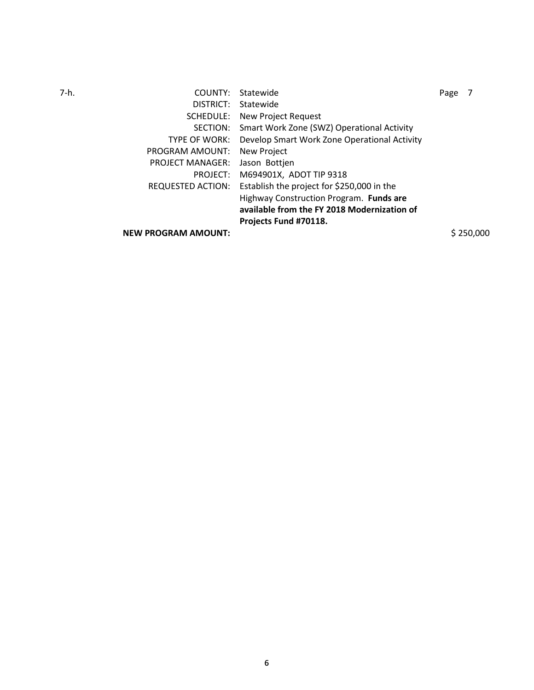| 7-h. | COUNTY:                    | Statewide                                    | Page |           |
|------|----------------------------|----------------------------------------------|------|-----------|
|      | DISTRICT:                  | Statewide                                    |      |           |
|      | SCHEDULE:                  | New Project Request                          |      |           |
|      | SECTION:                   | Smart Work Zone (SWZ) Operational Activity   |      |           |
|      | TYPE OF WORK:              | Develop Smart Work Zone Operational Activity |      |           |
|      | PROGRAM AMOUNT:            | New Project                                  |      |           |
|      | <b>PROJECT MANAGER:</b>    | Jason Bottjen                                |      |           |
|      | PROJECT:                   | M694901X, ADOT TIP 9318                      |      |           |
|      | REQUESTED ACTION:          | Establish the project for \$250,000 in the   |      |           |
|      |                            | Highway Construction Program. Funds are      |      |           |
|      |                            | available from the FY 2018 Modernization of  |      |           |
|      |                            | Projects Fund #70118.                        |      |           |
|      | <b>NEW PROGRAM AMOUNT:</b> |                                              |      | \$250,000 |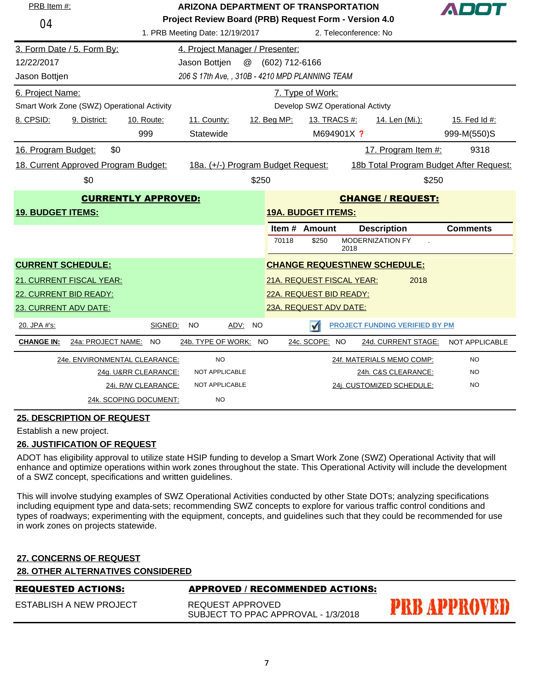|                          | PRB Item #:<br><b>ARIZONA DEPARTMENT OF TRANSPORTATION</b> |                            |                                                                                          |                           |                |                                 |                       |                                         |                 |
|--------------------------|------------------------------------------------------------|----------------------------|------------------------------------------------------------------------------------------|---------------------------|----------------|---------------------------------|-----------------------|-----------------------------------------|-----------------|
| 04                       |                                                            |                            | Project Review Board (PRB) Request Form - Version 4.0<br>1. PRB Meeting Date: 12/19/2017 |                           |                |                                 | 2. Teleconference: No |                                         |                 |
|                          | 3. Form Date / 5. Form By:                                 |                            | 4. Project Manager / Presenter:                                                          |                           |                |                                 |                       |                                         |                 |
| 12/22/2017               |                                                            |                            | Jason Bottjen                                                                            | $^\text{\textregistered}$ | (602) 712-6166 |                                 |                       |                                         |                 |
| Jason Bottjen            |                                                            |                            | 206 S 17th Ave, , 310B - 4210 MPD PLANNING TEAM                                          |                           |                |                                 |                       |                                         |                 |
| 6. Project Name:         |                                                            |                            |                                                                                          |                           |                | 7. Type of Work:                |                       |                                         |                 |
|                          | Smart Work Zone (SWZ) Operational Activity                 |                            |                                                                                          |                           |                | Develop SWZ Operational Activty |                       |                                         |                 |
| 8. CPSID:                | 9. District:                                               | 10. Route:                 | 11. County:                                                                              |                           | 12. Beg MP:    | 13. TRACS #:                    |                       | 14. Len (Mi.):                          | 15. Fed Id #:   |
|                          |                                                            | 999                        | Statewide                                                                                |                           |                | M694901X ?                      |                       |                                         | 999-M(550)S     |
| 16. Program Budget:      | \$0                                                        |                            |                                                                                          |                           |                |                                 |                       | 17. Program Item #:                     | 9318            |
|                          | 18. Current Approved Program Budget:                       |                            | 18a. (+/-) Program Budget Request:                                                       |                           |                |                                 |                       | 18b Total Program Budget After Request: |                 |
|                          | \$0                                                        |                            |                                                                                          | \$250                     |                |                                 |                       | \$250                                   |                 |
|                          |                                                            | <b>CURRENTLY APPROVED:</b> |                                                                                          |                           |                |                                 |                       | <b>CHANGE / REQUEST:</b>                |                 |
| <b>19. BUDGET ITEMS:</b> |                                                            |                            |                                                                                          |                           |                | <b>19A. BUDGET ITEMS:</b>       |                       |                                         |                 |
|                          |                                                            |                            |                                                                                          |                           |                | Item # Amount                   |                       | <b>Description</b>                      | <b>Comments</b> |
|                          |                                                            |                            |                                                                                          |                           | 70118          | \$250                           | 2018                  | MODERNIZATION FY                        |                 |
| <b>CURRENT SCHEDULE:</b> |                                                            |                            |                                                                                          |                           |                |                                 |                       | <b>CHANGE REQUEST\NEW SCHEDULE:</b>     |                 |
|                          | 21. CURRENT FISCAL YEAR:                                   |                            |                                                                                          |                           |                | 21A. REQUEST FISCAL YEAR:       |                       | 2018                                    |                 |
| 22. CURRENT BID READY:   |                                                            |                            |                                                                                          |                           |                | 22A. REQUEST BID READY:         |                       |                                         |                 |
| 23. CURRENT ADV DATE:    |                                                            |                            |                                                                                          |                           |                | 23A. REQUEST ADV DATE:          |                       |                                         |                 |
| 20. JPA #'s:             |                                                            | SIGNED:                    | NO                                                                                       | ADV: NO                   |                | М                               |                       | <b>PROJECT FUNDING VERIFIED BY PM</b>   |                 |
| <b>CHANGE IN:</b>        | 24a: PROJECT NAME:                                         | <b>NO</b>                  | 24b. TYPE OF WORK: NO                                                                    |                           |                | 24c. SCOPE: NO                  |                       | 24d. CURRENT STAGE:                     | NOT APPLICABLE  |
|                          | 24e. ENVIRONMENTAL CLEARANCE:                              |                            | <b>NO</b>                                                                                |                           |                |                                 |                       | 24f. MATERIALS MEMO COMP:               | <b>NO</b>       |
|                          |                                                            | 24g. U&RR CLEARANCE:       | NOT APPLICABLE                                                                           |                           |                |                                 |                       | 24h. C&S CLEARANCE:                     | NO              |
|                          |                                                            | 24i. R/W CLEARANCE:        | <b>NOT APPLICABLE</b>                                                                    |                           |                |                                 |                       | 24i. CUSTOMIZED SCHEDULE:               | <b>NO</b>       |
|                          |                                                            | 24k. SCOPING DOCUMENT:     | <b>NO</b>                                                                                |                           |                |                                 |                       |                                         |                 |

Establish a new project.

### **26. JUSTIFICATION OF REQUEST**

ADOT has eligibility approval to utilize state HSIP funding to develop a Smart Work Zone (SWZ) Operational Activity that will enhance and optimize operations within work zones throughout the state. This Operational Activity will include the development of a SWZ concept, specifications and written guidelines.

This will involve studying examples of SWZ Operational Activities conducted by other State DOTs; analyzing specifications including equipment type and data-sets; recommending SWZ concepts to explore for various traffic control conditions and types of roadways; experimenting with the equipment, concepts, and guidelines such that they could be recommended for use in work zones on projects statewide.

# **27. CONCERNS OF REQUEST**

# **28. OTHER ALTERNATIVES CONSIDERED**

| <b>REQUESTED ACTIONS:</b> | <b>APPROVED / RECOMMENDED ACTIONS:</b>                  |                     |
|---------------------------|---------------------------------------------------------|---------------------|
| ESTABLISH A NEW PROJECT   | REQUEST APPROVED<br>SUBJECT TO PPAC APPROVAL - 1/3/2018 | <b>PRB APPROVED</b> |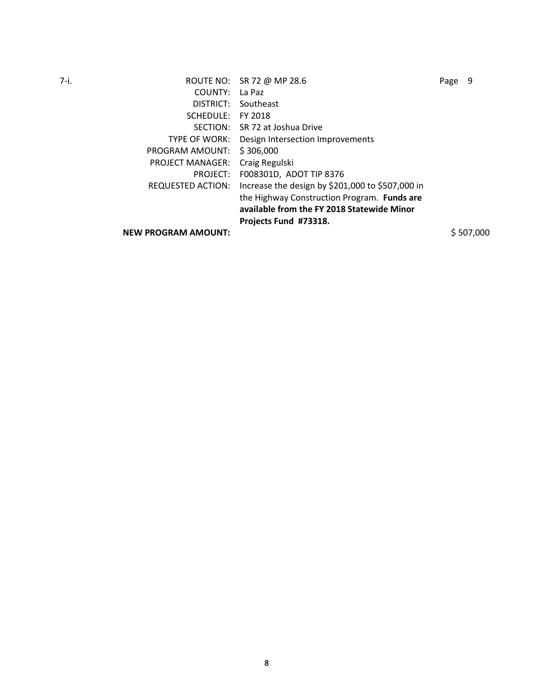| 7-i. |                            | ROUTE NO: SR 72 @ MP 28.6                        | Page | -9        |
|------|----------------------------|--------------------------------------------------|------|-----------|
|      | COUNTY:                    | La Paz                                           |      |           |
|      | DISTRICT:                  | Southeast                                        |      |           |
|      | SCHEDULE:                  | FY 2018                                          |      |           |
|      | SECTION:                   | SR 72 at Joshua Drive                            |      |           |
|      | TYPE OF WORK:              | Design Intersection Improvements                 |      |           |
|      | PROGRAM AMOUNT:            | \$306,000                                        |      |           |
|      | <b>PROJECT MANAGER:</b>    | Craig Regulski                                   |      |           |
|      | PROJECT:                   | F008301D, ADOT TIP 8376                          |      |           |
|      | REQUESTED ACTION:          | Increase the design by \$201,000 to \$507,000 in |      |           |
|      |                            | the Highway Construction Program. Funds are      |      |           |
|      |                            | available from the FY 2018 Statewide Minor       |      |           |
|      |                            | Projects Fund #73318.                            |      |           |
|      | <b>NEW PROGRAM AMOUNT:</b> |                                                  |      | \$507.000 |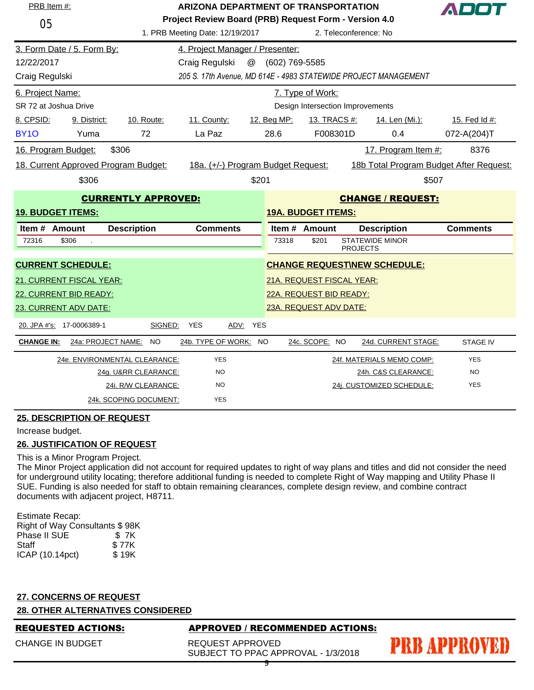| PRB Item #:              |                                                                                   | ARIZONA DEPARTMENT OF TRANSPORTATION |                                    |                |                                                       |                 |                                         |                 |  |
|--------------------------|-----------------------------------------------------------------------------------|--------------------------------------|------------------------------------|----------------|-------------------------------------------------------|-----------------|-----------------------------------------|-----------------|--|
| 05                       |                                                                                   |                                      |                                    |                | Project Review Board (PRB) Request Form - Version 4.0 |                 |                                         |                 |  |
|                          | 1. PRB Meeting Date: 12/19/2017                                                   |                                      |                                    |                |                                                       |                 | 2. Teleconference: No                   |                 |  |
|                          | 3. Form Date / 5. Form By:                                                        |                                      | 4. Project Manager / Presenter:    |                |                                                       |                 |                                         |                 |  |
| 12/22/2017               |                                                                                   |                                      | Craig Regulski<br>@                | (602) 769-5585 |                                                       |                 |                                         |                 |  |
|                          | 205 S. 17th Avenue, MD 614E - 4983 STATEWIDE PROJECT MANAGEMENT<br>Craig Regulski |                                      |                                    |                |                                                       |                 |                                         |                 |  |
| 6. Project Name:         |                                                                                   |                                      |                                    |                | 7. Type of Work:                                      |                 |                                         |                 |  |
| SR 72 at Joshua Drive    |                                                                                   |                                      |                                    |                | Design Intersection Improvements                      |                 |                                         |                 |  |
| 8. CPSID:                | 9. District:                                                                      | 10. Route:                           | 11. County:                        | 12. Beg MP:    | 13. TRACS #:                                          |                 | 14. Len (Mi.):                          | 15. Fed Id #:   |  |
| <b>BY10</b>              | Yuma                                                                              | 72                                   | La Paz                             | 28.6           |                                                       | F008301D        | 0.4                                     | 072-A(204)T     |  |
| 16. Program Budget:      |                                                                                   | \$306                                |                                    |                |                                                       |                 | 17. Program Item #:                     | 8376            |  |
|                          | 18. Current Approved Program Budget:                                              |                                      | 18a. (+/-) Program Budget Request: |                |                                                       |                 | 18b Total Program Budget After Request: |                 |  |
|                          | \$306                                                                             |                                      |                                    | \$201          |                                                       |                 | \$507                                   |                 |  |
|                          |                                                                                   | <b>CURRENTLY APPROVED:</b>           |                                    |                |                                                       |                 | <b>CHANGE / REQUEST:</b>                |                 |  |
| <b>19. BUDGET ITEMS:</b> |                                                                                   |                                      |                                    |                | <b>19A. BUDGET ITEMS:</b>                             |                 |                                         |                 |  |
| Item # Amount            |                                                                                   | <b>Description</b>                   | <b>Comments</b>                    |                | Item # Amount                                         |                 | <b>Description</b>                      | <b>Comments</b> |  |
| 72316                    | \$306                                                                             |                                      |                                    | 73318          | \$201                                                 | <b>PROJECTS</b> | <b>STATEWIDE MINOR</b>                  |                 |  |
|                          | <b>CURRENT SCHEDULE:</b>                                                          |                                      |                                    |                |                                                       |                 | <b>CHANGE REQUEST\NEW SCHEDULE:</b>     |                 |  |
|                          | 21. CURRENT FISCAL YEAR:                                                          |                                      |                                    |                |                                                       |                 |                                         |                 |  |
|                          | 22. CURRENT BID READY:                                                            |                                      |                                    |                | 21A. REQUEST FISCAL YEAR:<br>22A. REQUEST BID READY:  |                 |                                         |                 |  |
|                          | 23. CURRENT ADV DATE:                                                             |                                      |                                    |                | 23A. REQUEST ADV DATE:                                |                 |                                         |                 |  |
|                          |                                                                                   |                                      | <b>YES</b>                         |                |                                                       |                 |                                         |                 |  |
|                          | 20. JPA #'s: 17-0006389-1                                                         | SIGNED:                              | ADV: YES                           |                |                                                       |                 |                                         |                 |  |
| <b>CHANGE IN:</b>        |                                                                                   | 24a: PROJECT NAME: NO                | 24b. TYPE OF WORK: NO              |                | 24c. SCOPE: NO                                        |                 | 24d. CURRENT STAGE:                     | <b>STAGE IV</b> |  |
|                          |                                                                                   | 24e. ENVIRONMENTAL CLEARANCE:        | <b>YES</b>                         |                |                                                       |                 | 24f. MATERIALS MEMO COMP:               | <b>YES</b>      |  |
|                          |                                                                                   | 24g. U&RR CLEARANCE:                 | <b>NO</b>                          |                |                                                       |                 | 24h. C&S CLEARANCE:                     | <b>NO</b>       |  |
|                          |                                                                                   | 24i. R/W CLEARANCE:                  | <b>NO</b>                          |                |                                                       |                 | 24j. CUSTOMIZED SCHEDULE:               | <b>YES</b>      |  |
|                          |                                                                                   | 24k. SCOPING DOCUMENT:               | <b>YES</b>                         |                |                                                       |                 |                                         |                 |  |

Increase budget.

# **26. JUSTIFICATION OF REQUEST**

# This is a Minor Program Project.

The Minor Project application did not account for required updates to right of way plans and titles and did not consider the need for underground utility locating; therefore additional funding is needed to complete Right of Way mapping and Utility Phase II SUE. Funding is also needed for staff to obtain remaining clearances, complete design review, and combine contract documents with adjacent project, H8711.

| Right of Way Consultants \$98K |
|--------------------------------|
| \$7K                           |
| \$77K                          |
| \$19K                          |
|                                |

# **27. CONCERNS OF REQUEST**

**28. OTHER ALTERNATIVES CONSIDERED**

CHANGE IN BUDGET

# REQUESTED ACTIONS: APPROVED / RECOMMENDED ACTIONS:

REQUEST APPROVED SUBJECT TO PPAC APPROVAL - 1/3/2018

# **PRB APPROVED**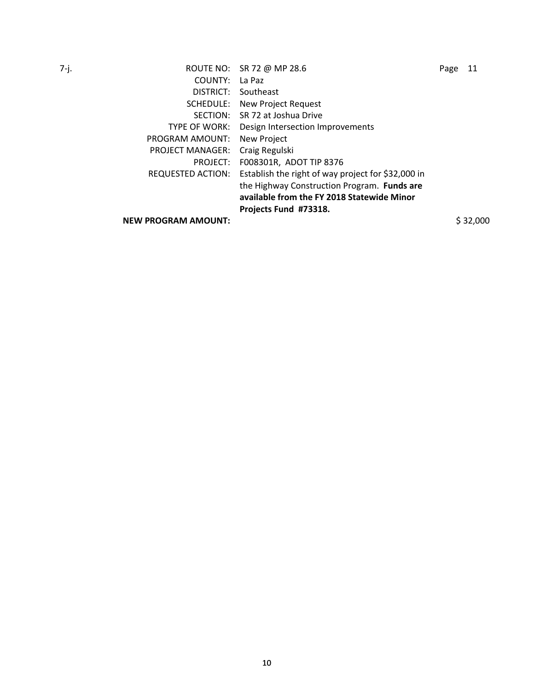7-j. ROUTE NO: SR 72 @ MP 28.6 Page 11 COUNTY: La Paz DISTRICT: Southeast SCHEDULE: New Project Request SECTION: SR 72 at Joshua Drive TYPE OF WORK: Design Intersection Improvements PROGRAM AMOUNT: New Project PROJECT MANAGER: Craig Regulski PROJECT: F008301R, ADOT TIP 8376 REQUESTED ACTION: Establish the right of way project for \$32,000 in the Highway Construction Program. **Funds are available from the FY 2018 Statewide Minor** 

**Projects Fund #73318.**

**NEW PROGRAM AMOUNT:**  $\frac{1}{2}$  \$ 32,000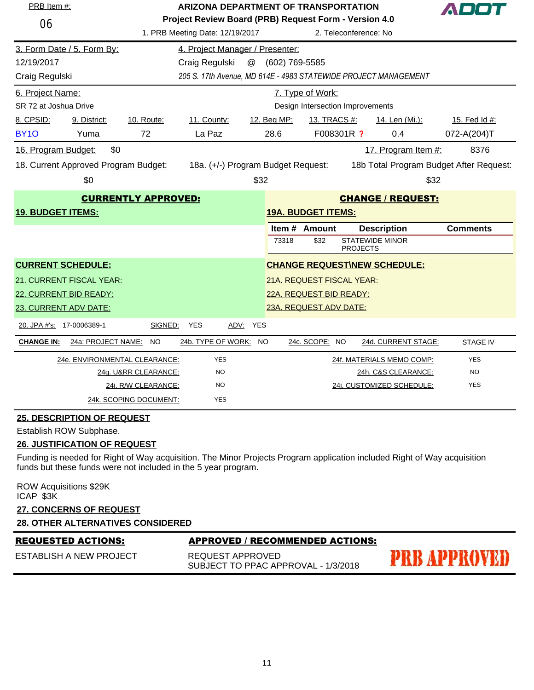| PRB Item #:              |                                                        |                               | <b>ARIZONA DEPARTMENT OF TRANSPORTATION</b> |                                                                                |                                  |                                                                 | A D O T         |  |
|--------------------------|--------------------------------------------------------|-------------------------------|---------------------------------------------|--------------------------------------------------------------------------------|----------------------------------|-----------------------------------------------------------------|-----------------|--|
| 06                       |                                                        |                               | 1. PRB Meeting Date: 12/19/2017             | Project Review Board (PRB) Request Form - Version 4.0<br>2. Teleconference: No |                                  |                                                                 |                 |  |
|                          | 3. Form Date / 5. Form By:                             |                               | 4. Project Manager / Presenter:             |                                                                                |                                  |                                                                 |                 |  |
| 12/19/2017               |                                                        |                               | Craig Regulski                              | @ (602) 769-5585                                                               |                                  |                                                                 |                 |  |
| Craig Regulski           |                                                        |                               |                                             |                                                                                |                                  | 205 S. 17th Avenue, MD 614E - 4983 STATEWIDE PROJECT MANAGEMENT |                 |  |
| 6. Project Name:         |                                                        |                               |                                             |                                                                                | 7. Type of Work:                 |                                                                 |                 |  |
| SR 72 at Joshua Drive    |                                                        |                               |                                             |                                                                                | Design Intersection Improvements |                                                                 |                 |  |
| 8. CPSID:                | 9. District:                                           | 10. Route:                    | 11. County:                                 | 12. Beg MP:                                                                    | 13. TRACS #:                     | 14. Len (Mi.):                                                  | 15. Fed Id #:   |  |
| <b>BY10</b>              | Yuma                                                   | 72                            | La Paz                                      | 28.6                                                                           | F008301R ?                       | 0.4                                                             | 072-A(204)T     |  |
| 16. Program Budget:      | \$0                                                    |                               |                                             |                                                                                |                                  | 17. Program Item #:                                             | 8376            |  |
|                          | 18. Current Approved Program Budget:                   |                               | 18a. (+/-) Program Budget Request:          |                                                                                |                                  | 18b Total Program Budget After Request:                         |                 |  |
|                          | \$0                                                    |                               |                                             | \$32                                                                           |                                  |                                                                 | \$32            |  |
|                          | <b>CURRENTLY APPROVED:</b><br><b>CHANGE / REQUEST:</b> |                               |                                             |                                                                                |                                  |                                                                 |                 |  |
| <b>19. BUDGET ITEMS:</b> |                                                        |                               |                                             |                                                                                | <b>19A. BUDGET ITEMS:</b>        |                                                                 |                 |  |
|                          |                                                        |                               |                                             |                                                                                | Item # Amount                    | <b>Description</b>                                              | <b>Comments</b> |  |
|                          |                                                        |                               |                                             | 73318                                                                          | \$32                             | <b>STATEWIDE MINOR</b><br><b>PROJECTS</b>                       |                 |  |
|                          | <b>CURRENT SCHEDULE:</b>                               |                               |                                             |                                                                                |                                  | <b>CHANGE REQUEST\NEW SCHEDULE:</b>                             |                 |  |
|                          | 21. CURRENT FISCAL YEAR:                               |                               |                                             |                                                                                | 21A. REQUEST FISCAL YEAR:        |                                                                 |                 |  |
|                          | 22. CURRENT BID READY:                                 |                               |                                             |                                                                                | 22A. REQUEST BID READY:          |                                                                 |                 |  |
|                          | 23. CURRENT ADV DATE:                                  |                               |                                             |                                                                                | 23A. REQUEST ADV DATE:           |                                                                 |                 |  |
|                          | 20. JPA #'s: 17-0006389-1                              | SIGNED:                       | YES<br>ADV: YES                             |                                                                                |                                  |                                                                 |                 |  |
| <b>CHANGE IN:</b>        | 24a: PROJECT NAME: NO                                  |                               | 24b. TYPE OF WORK: NO                       |                                                                                | 24c. SCOPE: NO                   | 24d. CURRENT STAGE:                                             | <b>STAGE IV</b> |  |
|                          |                                                        | 24e. ENVIRONMENTAL CLEARANCE: | <b>YES</b>                                  |                                                                                |                                  | 24f. MATERIALS MEMO COMP:                                       | <b>YES</b>      |  |
|                          |                                                        | 24g. U&RR CLEARANCE:          | <b>NO</b>                                   |                                                                                |                                  | 24h. C&S CLEARANCE:                                             | <b>NO</b>       |  |
|                          |                                                        | 24i. R/W CLEARANCE:           | <b>NO</b>                                   |                                                                                |                                  | 24j. CUSTOMIZED SCHEDULE:                                       | <b>YES</b>      |  |
|                          |                                                        | 24k. SCOPING DOCUMENT:        | <b>YES</b>                                  |                                                                                |                                  |                                                                 |                 |  |

Establish ROW Subphase.

### **26. JUSTIFICATION OF REQUEST**

Funding is needed for Right of Way acquisition. The Minor Projects Program application included Right of Way acquisition funds but these funds were not included in the 5 year program.

ROW Acquisitions \$29K ICAP \$3K

# **27. CONCERNS OF REQUEST**

# **28. OTHER ALTERNATIVES CONSIDERED**

# REQUESTED ACTIONS: APPROVED / RECOMMENDED ACTIONS:

ESTABLISH A NEW PROJECT

REQUEST APPROVED SUBJECT TO PPAC APPROVAL - 1/3/2018 **PRB APPROVED**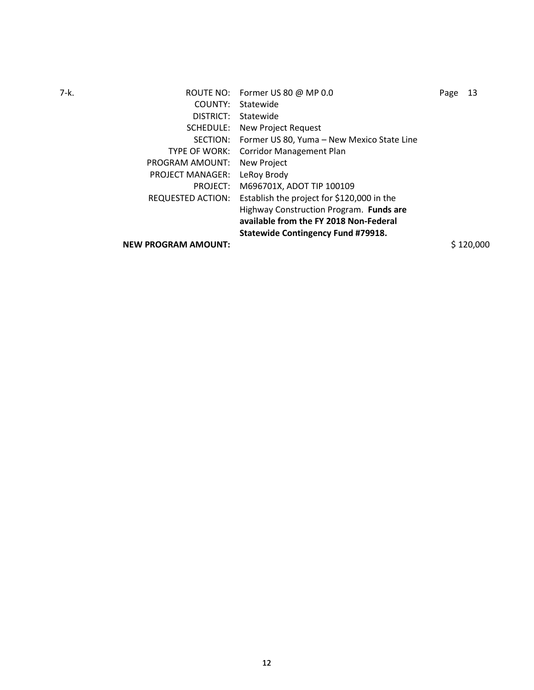7-k. Page 13 COUNTY: Statewide DISTRICT: Statewide SCHEDULE: New Project Request SECTION: Former US 80, Yuma – New Mexico State Line TYPE OF WORK: Corridor Management Plan PROGRAM AMOUNT: New Project PROJECT MANAGER: LeRoy Brody PROJECT: M696701X, ADOT TIP 100109 REQUESTED ACTION: Establish the project for \$120,000 in the Highway Construction Program. **Funds are available from the FY 2018 Non-Federal Statewide Contingency Fund #79918. NEW PROGRAM AMOUNT:**  $$120,000$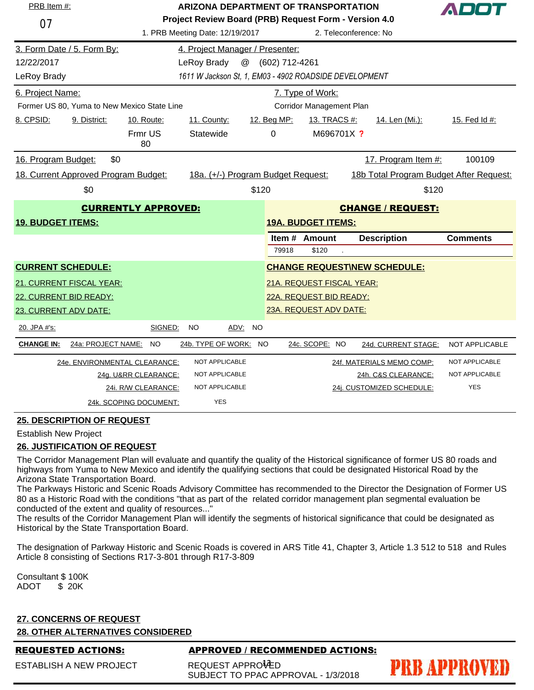| PRB Item #:              |                                             | <b>ARIZONA DEPARTMENT OF TRANSPORTATION</b>                                                                       |                                                        |       |                |                           | ADO1                                    |       |                 |
|--------------------------|---------------------------------------------|-------------------------------------------------------------------------------------------------------------------|--------------------------------------------------------|-------|----------------|---------------------------|-----------------------------------------|-------|-----------------|
| 07                       |                                             | Project Review Board (PRB) Request Form - Version 4.0<br>1. PRB Meeting Date: 12/19/2017<br>2. Teleconference: No |                                                        |       |                |                           |                                         |       |                 |
|                          | 3. Form Date / 5. Form By:                  |                                                                                                                   | 4. Project Manager / Presenter:                        |       |                |                           |                                         |       |                 |
| 12/22/2017               |                                             |                                                                                                                   | @<br>LeRoy Brady                                       |       | (602) 712-4261 |                           |                                         |       |                 |
| LeRoy Brady              |                                             |                                                                                                                   | 1611 W Jackson St, 1, EM03 - 4902 ROADSIDE DEVELOPMENT |       |                |                           |                                         |       |                 |
| 6. Project Name:         |                                             |                                                                                                                   |                                                        |       |                | 7. Type of Work:          |                                         |       |                 |
|                          | Former US 80. Yuma to New Mexico State Line |                                                                                                                   |                                                        |       |                | Corridor Management Plan  |                                         |       |                 |
| 8. CPSID:                | 9. District:                                | 10. Route:                                                                                                        | 11. County:                                            |       | 12. Beg MP:    | 13. TRACS #:              | 14. Len (Mi.):                          |       | 15. Fed Id #:   |
|                          |                                             | Frmr US<br>80                                                                                                     | Statewide                                              |       | 0              | M696701X ?                |                                         |       |                 |
| 16. Program Budget:      | \$0                                         |                                                                                                                   |                                                        |       |                |                           | 17. Program Item #:                     |       | 100109          |
|                          | 18. Current Approved Program Budget:        |                                                                                                                   | 18a. (+/-) Program Budget Request:                     |       |                |                           | 18b Total Program Budget After Request: |       |                 |
|                          | \$0                                         |                                                                                                                   |                                                        | \$120 |                |                           |                                         | \$120 |                 |
|                          |                                             | <b>CURRENTLY APPROVED:</b>                                                                                        |                                                        |       |                |                           | <b>CHANGE / REQUEST:</b>                |       |                 |
| <b>19. BUDGET ITEMS:</b> |                                             |                                                                                                                   |                                                        |       |                | <b>19A. BUDGET ITEMS:</b> |                                         |       |                 |
|                          |                                             |                                                                                                                   |                                                        |       |                | Item # Amount             | <b>Description</b>                      |       | <b>Comments</b> |
|                          |                                             |                                                                                                                   |                                                        |       | 79918          | \$120                     |                                         |       |                 |
| <b>CURRENT SCHEDULE:</b> |                                             |                                                                                                                   |                                                        |       |                |                           | <b>CHANGE REQUEST\NEW SCHEDULE:</b>     |       |                 |
|                          | 21. CURRENT FISCAL YEAR:                    |                                                                                                                   |                                                        |       |                | 21A. REQUEST FISCAL YEAR: |                                         |       |                 |
| 22. CURRENT BID READY:   |                                             |                                                                                                                   |                                                        |       |                | 22A. REQUEST BID READY:   |                                         |       |                 |
| 23. CURRENT ADV DATE:    |                                             |                                                                                                                   |                                                        |       |                | 23A. REQUEST ADV DATE:    |                                         |       |                 |
| 20. JPA #'s:             |                                             | SIGNED:                                                                                                           | NO.<br>ADV: NO                                         |       |                |                           |                                         |       |                 |
| <b>CHANGE IN:</b>        | 24a: PROJECT NAME: NO                       |                                                                                                                   | 24b. TYPE OF WORK: NO                                  |       |                | 24c. SCOPE: NO            | 24d. CURRENT STAGE:                     |       | NOT APPLICABLE  |
|                          | 24e. ENVIRONMENTAL CLEARANCE:               |                                                                                                                   | <b>NOT APPLICABLE</b>                                  |       |                |                           | 24f. MATERIALS MEMO COMP:               |       | NOT APPLICABLE  |
|                          |                                             | 24g. U&RR CLEARANCE:                                                                                              | NOT APPLICABLE                                         |       |                |                           | 24h. C&S CLEARANCE:                     |       | NOT APPLICABLE  |
|                          |                                             | 24i. R/W CLEARANCE:                                                                                               | <b>NOT APPLICABLE</b>                                  |       |                |                           | 24j. CUSTOMIZED SCHEDULE:               |       | <b>YES</b>      |
|                          |                                             | 24k. SCOPING DOCUMENT:                                                                                            | <b>YES</b>                                             |       |                |                           |                                         |       |                 |

Establish New Project

# **26. JUSTIFICATION OF REQUEST**

The Corridor Management Plan will evaluate and quantify the quality of the Historical significance of former US 80 roads and highways from Yuma to New Mexico and identify the qualifying sections that could be designated Historical Road by the Arizona State Transportation Board.

The Parkways Historic and Scenic Roads Advisory Committee has recommended to the Director the Designation of Former US 80 as a Historic Road with the conditions "that as part of the related corridor management plan segmental evaluation be conducted of the extent and quality of resources..."

The results of the Corridor Management Plan will identify the segments of historical significance that could be designated as Historical by the State Transportation Board.

The designation of Parkway Historic and Scenic Roads is covered in ARS Title 41, Chapter 3, Article 1.3 512 to 518 and Rules Article 8 consisting of Sections R17-3-801 through R17-3-809

Consultant \$ 100K ADOT \$ 20K

# **27. CONCERNS OF REQUEST**

# **28. OTHER ALTERNATIVES CONSIDERED**

ESTABLISH A NEW PROJECT

# REQUESTED ACTIONS: APPROVED / RECOMMENDED ACTIONS:

**PRB APPROVED** 

REQUEST APPRO<sup>1</sup>CD SUBJECT TO PPAC APPROVAL - 1/3/2018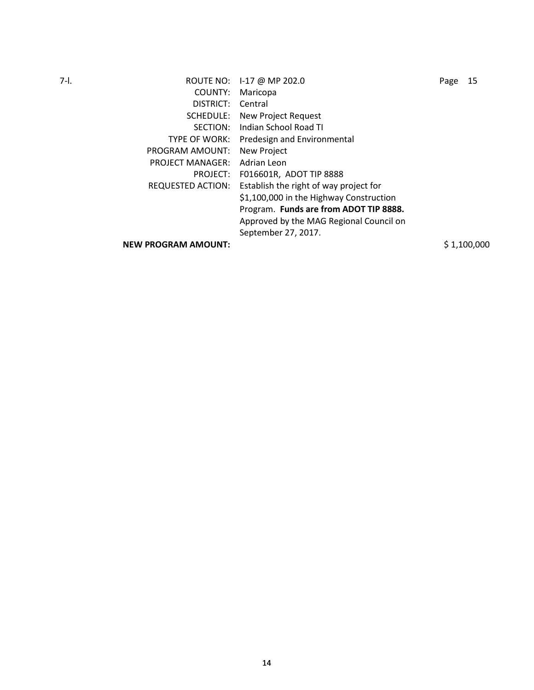7-l. ROUTE NO: I-17 @ MP 202.0 Page 15 COUNTY: Maricopa DISTRICT: Central SCHEDULE: New Project Request SECTION: Indian School Road TI TYPE OF WORK: Predesign and Environmental PROGRAM AMOUNT: New Project PROJECT MANAGER: Adrian Leon PROJECT: F016601R, ADOT TIP 8888 REQUESTED ACTION: Establish the right of way project for \$1,100,000 in the Highway Construction Program. **Funds are from ADOT TIP 8888.**  Approved by the MAG Regional Council on September 27, 2017. **NEW PROGRAM AMOUNT:**  $$1,100,000$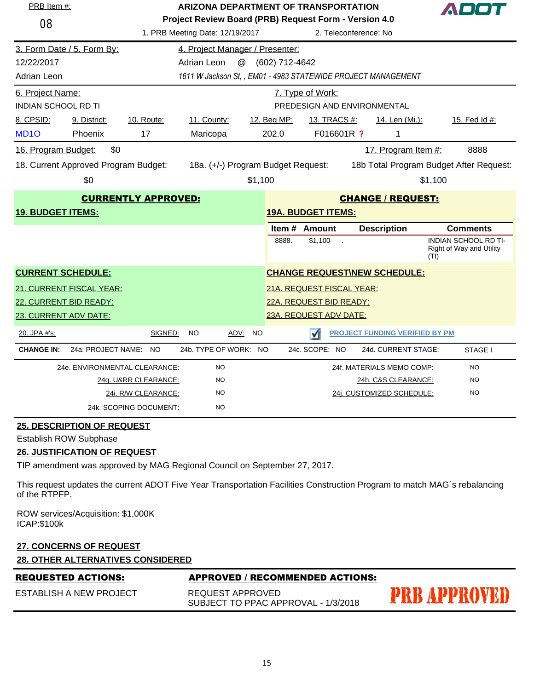| PRB Item #:<br><b>ARIZONA DEPARTMENT OF TRANSPORTATION</b> |                                      |                               |                                    |                                                                                | ADOT           |                           |                                                              |         |                                                         |
|------------------------------------------------------------|--------------------------------------|-------------------------------|------------------------------------|--------------------------------------------------------------------------------|----------------|---------------------------|--------------------------------------------------------------|---------|---------------------------------------------------------|
| 08                                                         |                                      |                               | 1. PRB Meeting Date: 12/19/2017    | Project Review Board (PRB) Request Form - Version 4.0<br>2. Teleconference: No |                |                           |                                                              |         |                                                         |
|                                                            | 3. Form Date / 5. Form By:           |                               | 4. Project Manager / Presenter:    |                                                                                |                |                           |                                                              |         |                                                         |
| 12/22/2017                                                 |                                      |                               | $^{\copyright}$<br>Adrian Leon     |                                                                                | (602) 712-4642 |                           |                                                              |         |                                                         |
| <b>Adrian Leon</b>                                         |                                      |                               |                                    |                                                                                |                |                           | 1611 W Jackson St., EM01 - 4983 STATEWIDE PROJECT MANAGEMENT |         |                                                         |
| 6. Project Name:                                           |                                      |                               |                                    |                                                                                |                | 7. Type of Work:          |                                                              |         |                                                         |
| <b>INDIAN SCHOOL RD TI</b>                                 |                                      |                               |                                    |                                                                                |                |                           | PREDESIGN AND ENVIRONMENTAL                                  |         |                                                         |
| 8. CPSID:                                                  | 9. District:                         | 10. Route:                    | 11. County:                        |                                                                                | 12. Beg MP:    | 13. TRACS #:              | 14. Len (Mi.):                                               |         | 15. Fed Id #:                                           |
| MD <sub>10</sub>                                           | Phoenix                              | 17                            | Maricopa                           |                                                                                | 202.0          | F016601R ?                | 1                                                            |         |                                                         |
| 16. Program Budget:                                        | \$0                                  |                               |                                    |                                                                                |                |                           | 17. Program Item #:                                          |         | 8888                                                    |
|                                                            | 18. Current Approved Program Budget: |                               | 18a. (+/-) Program Budget Request: |                                                                                |                |                           | 18b Total Program Budget After Request:                      |         |                                                         |
|                                                            | \$0                                  |                               |                                    | \$1,100                                                                        |                |                           |                                                              | \$1,100 |                                                         |
| <b>CURRENTLY APPROVED:</b><br><b>CHANGE / REQUEST:</b>     |                                      |                               |                                    |                                                                                |                |                           |                                                              |         |                                                         |
| <b>19. BUDGET ITEMS:</b>                                   |                                      |                               |                                    |                                                                                |                | <b>19A. BUDGET ITEMS:</b> |                                                              |         |                                                         |
|                                                            |                                      |                               |                                    |                                                                                |                | Item # Amount             | <b>Description</b>                                           |         | <b>Comments</b>                                         |
|                                                            |                                      |                               |                                    |                                                                                | 8888.          | \$1,100<br>÷.             |                                                              | (TI)    | <b>INDIAN SCHOOL RD TI-</b><br>Right of Way and Utility |
|                                                            | <b>CURRENT SCHEDULE:</b>             |                               |                                    |                                                                                |                |                           | <b>CHANGE REQUESTINEW SCHEDULE:</b>                          |         |                                                         |
|                                                            | 21. CURRENT FISCAL YEAR:             |                               |                                    |                                                                                |                | 21A. REQUEST FISCAL YEAR: |                                                              |         |                                                         |
|                                                            | 22. CURRENT BID READY:               |                               |                                    |                                                                                |                | 22A. REQUEST BID READY:   |                                                              |         |                                                         |
| 23A. REQUEST ADV DATE:<br>23. CURRENT ADV DATE:            |                                      |                               |                                    |                                                                                |                |                           |                                                              |         |                                                         |
| 20. JPA #'s:                                               |                                      | SIGNED:                       | <b>NO</b><br><u>ADV:</u>           | <b>NO</b>                                                                      |                | $\blacktriangleleft$      | <b>PROJECT FUNDING VERIFIED BY PM</b>                        |         |                                                         |
| <b>CHANGE IN:</b>                                          | 24a: PROJECT NAME:                   | <b>NO</b>                     | 24b. TYPE OF WORK: NO              |                                                                                |                | 24c. SCOPE: NO            | 24d. CURRENT STAGE:                                          |         | STAGE I                                                 |
|                                                            |                                      | 24e. ENVIRONMENTAL CLEARANCE: | <b>NO</b>                          |                                                                                |                |                           | 24f. MATERIALS MEMO COMP:                                    |         | <b>NO</b>                                               |
|                                                            |                                      | 24g. U&RR CLEARANCE:          | <b>NO</b>                          |                                                                                |                |                           | 24h. C&S CLEARANCE:                                          |         | <b>NO</b>                                               |
|                                                            |                                      | 24i. R/W CLEARANCE:           | <b>NO</b>                          |                                                                                |                |                           | 24j. CUSTOMIZED SCHEDULE:                                    |         | <b>NO</b>                                               |
|                                                            |                                      | 24k. SCOPING DOCUMENT:        | <b>NO</b>                          |                                                                                |                |                           |                                                              |         |                                                         |

Establish ROW Subphase

# **26. JUSTIFICATION OF REQUEST**

TIP amendment was approved by MAG Regional Council on September 27, 2017.

This request updates the current ADOT Five Year Transportation Facilities Construction Program to match MAG`s rebalancing of the RTPFP.

ROW services/Acquisition: \$1,000K ICAP:\$100k

# **27. CONCERNS OF REQUEST**

| <b>28. OTHER ALTERNATIVES CONSIDERED</b> |                                                         |                     |  |  |  |  |  |  |
|------------------------------------------|---------------------------------------------------------|---------------------|--|--|--|--|--|--|
| <b>REQUESTED ACTIONS:</b>                | APPROVED / RECOMMENDED ACTIONS:                         |                     |  |  |  |  |  |  |
| ESTABLISH A NEW PROJECT                  | REQUEST APPROVED<br>SUBJECT TO PPAC APPROVAL - 1/3/2018 | <b>PRB APPROVED</b> |  |  |  |  |  |  |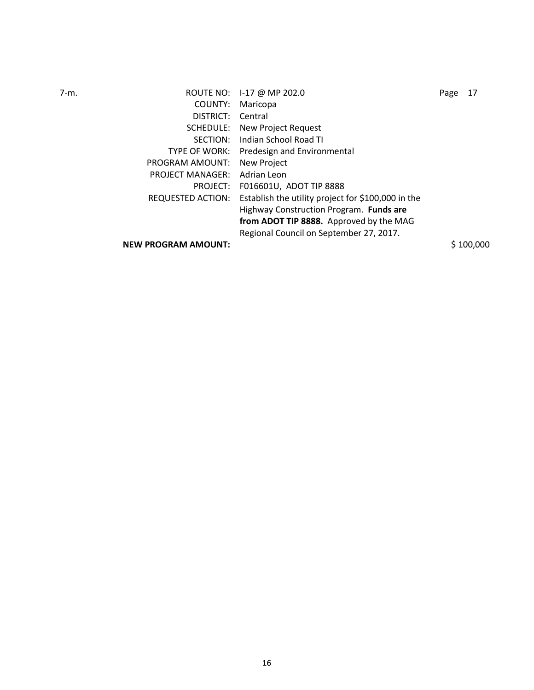| $7-m.$ |                            | ROUTE NO: 1-17 @ MP 202.0                          | Page | 17        |
|--------|----------------------------|----------------------------------------------------|------|-----------|
|        | COUNTY:                    | Maricopa                                           |      |           |
|        | DISTRICT:                  | Central                                            |      |           |
|        | SCHEDULE:                  | New Project Request                                |      |           |
|        | SECTION:                   | Indian School Road TI                              |      |           |
|        | <b>TYPE OF WORK:</b>       | Predesign and Environmental                        |      |           |
|        | PROGRAM AMOUNT:            | New Project                                        |      |           |
|        | <b>PROJECT MANAGER:</b>    | Adrian Leon                                        |      |           |
|        | PROJECT:                   | F016601U, ADOT TIP 8888                            |      |           |
|        | REQUESTED ACTION:          | Establish the utility project for \$100,000 in the |      |           |
|        |                            | Highway Construction Program. Funds are            |      |           |
|        |                            | from ADOT TIP 8888. Approved by the MAG            |      |           |
|        |                            | Regional Council on September 27, 2017.            |      |           |
|        | <b>NEW PROGRAM AMOUNT:</b> |                                                    |      | \$100,000 |